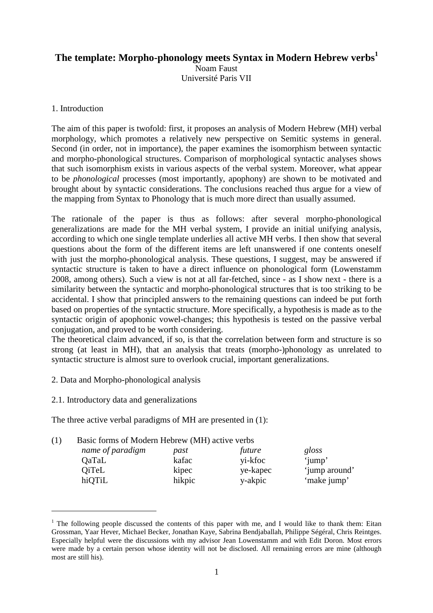# **The template: Morpho-phonology meets Syntax in Modern Hebrew verbs<sup>1</sup>**

Noam Faust Université Paris VII

## 1. Introduction

The aim of this paper is twofold: first, it proposes an analysis of Modern Hebrew (MH) verbal morphology, which promotes a relatively new perspective on Semitic systems in general. Second (in order, not in importance), the paper examines the isomorphism between syntactic and morpho-phonological structures. Comparison of morphological syntactic analyses shows that such isomorphism exists in various aspects of the verbal system. Moreover, what appear to be *phonological* processes (most importantly, apophony) are shown to be motivated and brought about by syntactic considerations. The conclusions reached thus argue for a view of the mapping from Syntax to Phonology that is much more direct than usually assumed.

The rationale of the paper is thus as follows: after several morpho-phonological generalizations are made for the MH verbal system, I provide an initial unifying analysis, according to which one single template underlies all active MH verbs. I then show that several questions about the form of the different items are left unanswered if one contents oneself with just the morpho-phonological analysis. These questions, I suggest, may be answered if syntactic structure is taken to have a direct influence on phonological form (Lowenstamm 2008, among others). Such a view is not at all far-fetched, since - as I show next - there is a similarity between the syntactic and morpho-phonological structures that is too striking to be accidental. I show that principled answers to the remaining questions can indeed be put forth based on properties of the syntactic structure. More specifically, a hypothesis is made as to the syntactic origin of apophonic vowel-changes; this hypothesis is tested on the passive verbal conjugation, and proved to be worth considering.

The theoretical claim advanced, if so, is that the correlation between form and structure is so strong (at least in MH), that an analysis that treats (morpho-)phonology as unrelated to syntactic structure is almost sure to overlook crucial, important generalizations.

- 2. Data and Morpho-phonological analysis
- 2.1. Introductory data and generalizations

 $\overline{a}$ 

The three active verbal paradigms of MH are presented in (1):

| (1) | Basic forms of Modern Hebrew (MH) active verbs |  |  |
|-----|------------------------------------------------|--|--|
|-----|------------------------------------------------|--|--|

| name of paradigm | past   | future   | gloss         |
|------------------|--------|----------|---------------|
| QaTaL            | kafac  | yi-kfoc  | 'jump'        |
| <b>QiTeL</b>     | kipec  | ye-kapec | 'jump around' |
| hiQTiL           | hikpic | y-akpic  | 'make jump'   |

<sup>&</sup>lt;sup>1</sup> The following people discussed the contents of this paper with me, and I would like to thank them: Eitan Grossman, Yaar Hever, Michael Becker, Jonathan Kaye, Sabrina Bendjaballah, Philippe Ségéral, Chris Reintges. Especially helpful were the discussions with my advisor Jean Lowenstamm and with Edit Doron. Most errors were made by a certain person whose identity will not be disclosed. All remaining errors are mine (although most are still his).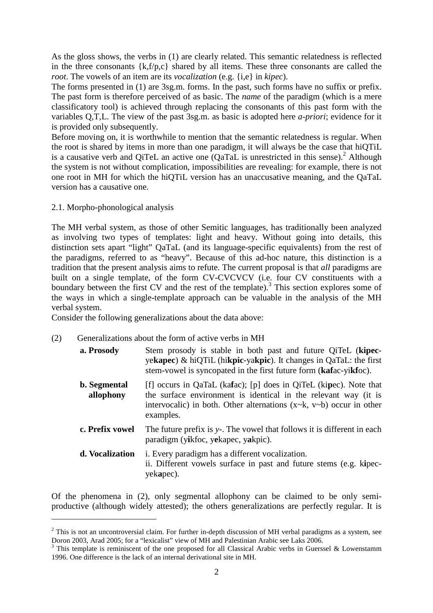As the gloss shows, the verbs in (1) are clearly related. This semantic relatedness is reflected in the three consonants  $\{k, f/p, c\}$  shared by all items. These three consonants are called the *root*. The vowels of an item are its *vocalization* (e.g. {i,e} in *kipec*).

The forms presented in (1) are 3sg.m. forms. In the past, such forms have no suffix or prefix. The past form is therefore perceived of as basic. The *name* of the paradigm (which is a mere classificatory tool) is achieved through replacing the consonants of this past form with the variables Q,T,L. The view of the past 3sg.m. as basic is adopted here *a-priori*; evidence for it is provided only subsequently.

Before moving on, it is worthwhile to mention that the semantic relatedness is regular. When the root is shared by items in more than one paradigm, it will always be the case that hiQTiL is a causative verb and QiTeL an active one  $(QaTaL)$  is unrestricted in this sense).<sup>2</sup> Although the system is not without complication, impossibilities are revealing: for example, there is not one root in MH for which the hiQTiL version has an unaccusative meaning, and the QaTaL version has a causative one.

2.1. Morpho-phonological analysis

 $\overline{a}$ 

The MH verbal system, as those of other Semitic languages, has traditionally been analyzed as involving two types of templates: light and heavy. Without going into details, this distinction sets apart "light" QaTaL (and its language-specific equivalents) from the rest of the paradigms, referred to as "heavy". Because of this ad-hoc nature, this distinction is a tradition that the present analysis aims to refute. The current proposal is that *all* paradigms are built on a single template, of the form CV-CVCVCV (i.e. four CV constituents with a boundary between the first CV and the rest of the template).<sup>3</sup> This section explores some of the ways in which a single-template approach can be valuable in the analysis of the MH verbal system.

Consider the following generalizations about the data above:

- (2) Generalizations about the form of active verbs in MH
	- **a. Prosody** Stem prosody is stable in both past and future QiTeL (**kipec**ye**kapec**) & hiQTiL (hi**kpic**-ya**kpic**). It changes in QaTaL: the first stem-vowel is syncopated in the first future form (**kaf**ac-yi**kf**oc).
	- **b. Segmental allophony**  [f] occurs in QaTaL (ka**f**ac); [p] does in QiTeL (ki**p**ec). Note that the surface environment is identical in the relevant way (it is intervocalic) in both. Other alternations  $(x \sim k, v \sim b)$  occur in other examples.
	- **c. Prefix vowel** The future prefix is  $y$ -. The vowel that follows it is different in each paradigm (y**i**kfoc, y**e**kapec, y**a**kpic).
	- **d. Vocalization** i. Every paradigm has a different vocalization. ii. Different vowels surface in past and future stems (e.g. k**i**pecyek**a**pec).

Of the phenomena in (2), only segmental allophony can be claimed to be only semiproductive (although widely attested); the others generalizations are perfectly regular. It is

 $2$  This is not an uncontroversial claim. For further in-depth discussion of MH verbal paradigms as a system, see Doron 2003, Arad 2005; for a "lexicalist" view of MH and Palestinian Arabic see Laks 2006.

 $3$  This template is reminiscent of the one proposed for all Classical Arabic verbs in Guerssel & Lowenstamm 1996. One difference is the lack of an internal derivational site in MH.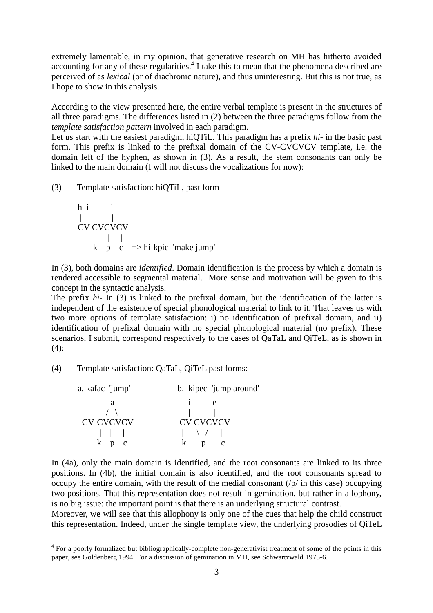extremely lamentable, in my opinion, that generative research on MH has hitherto avoided accounting for any of these regularities.<sup>4</sup> I take this to mean that the phenomena described are perceived of as *lexical* (or of diachronic nature), and thus uninteresting. But this is not true, as I hope to show in this analysis.

According to the view presented here, the entire verbal template is present in the structures of all three paradigms. The differences listed in (2) between the three paradigms follow from the *template satisfaction pattern* involved in each paradigm.

Let us start with the easiest paradigm, hiQTiL. This paradigm has a prefix *hi-* in the basic past form. This prefix is linked to the prefixal domain of the CV-CVCVCV template, i.e. the domain left of the hyphen, as shown in (3). As a result, the stem consonants can only be linked to the main domain (I will not discuss the vocalizations for now):

(3) Template satisfaction: hiQTiL, past form

h i i  
\n
$$
\begin{array}{ccc}\n| & | & | \\
CV-CVCVCVCV} & & \\
| & | & | \\
k & p & c & \implies \text{hi-kpic 'make jump'}\n\end{array}
$$

In (3), both domains are *identified*. Domain identification is the process by which a domain is rendered accessible to segmental material. More sense and motivation will be given to this concept in the syntactic analysis.

The prefix *hi-* In (3) is linked to the prefixal domain, but the identification of the latter is independent of the existence of special phonological material to link to it. That leaves us with two more options of template satisfaction: i) no identification of prefixal domain, and ii) identification of prefixal domain with no special phonological material (no prefix). These scenarios, I submit, correspond respectively to the cases of QaTaL and QiTeL, as is shown in  $(4)$ :

(4) Template satisfaction: QaTaL, QiTeL past forms:

 $\overline{a}$ 

| a. kafac 'jump'                               | b. kipec 'jump around'           |
|-----------------------------------------------|----------------------------------|
| а                                             | $\mathbf{e}$                     |
| $\left( \begin{array}{c} \end{array} \right)$ |                                  |
| CV-CVCVCV                                     | <b>CV-CVCVCV</b>                 |
| $\vert \vert$ $\vert$ $\vert$                 | $\begin{array}{ccc} \end{array}$ |
| $k$ p $c$                                     | $\mathbf{D}$                     |

In (4a), only the main domain is identified, and the root consonants are linked to its three positions. In (4b), the initial domain is also identified, and the root consonants spread to occupy the entire domain, with the result of the medial consonant  $(p)$  in this case) occupying two positions. That this representation does not result in gemination, but rather in allophony, is no big issue: the important point is that there is an underlying structural contrast.

Moreover, we will see that this allophony is only one of the cues that help the child construct this representation. Indeed, under the single template view, the underlying prosodies of QiTeL

<sup>&</sup>lt;sup>4</sup> For a poorly formalized but bibliographically-complete non-generativist treatment of some of the points in this paper, see Goldenberg 1994. For a discussion of gemination in MH, see Schwartzwald 1975-6.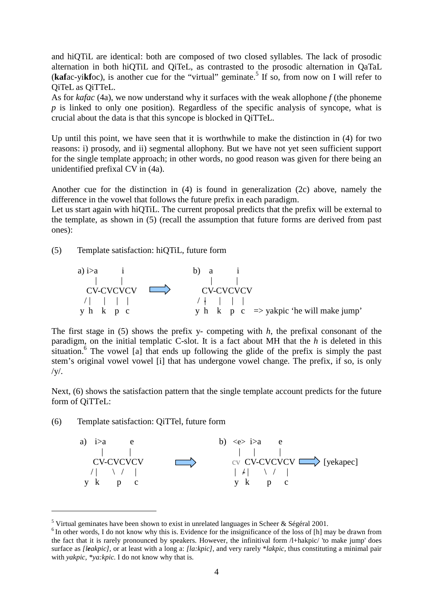and hiQTiL are identical: both are composed of two closed syllables. The lack of prosodic alternation in both hiQTiL and QiTeL, as contrasted to the prosodic alternation in QaTaL (kafac-yikfoc), is another cue for the "virtual" geminate.<sup>5</sup> If so, from now on I will refer to QiTeL as QiTTeL.

As for *kafac* (4a), we now understand why it surfaces with the weak allophone *f* (the phoneme *p* is linked to only one position). Regardless of the specific analysis of syncope, what is crucial about the data is that this syncope is blocked in QiTTeL.

Up until this point, we have seen that it is worthwhile to make the distinction in (4) for two reasons: i) prosody, and ii) segmental allophony. But we have not yet seen sufficient support for the single template approach; in other words, no good reason was given for there being an unidentified prefixal CV in (4a).

Another cue for the distinction in (4) is found in generalization (2c) above, namely the difference in the vowel that follows the future prefix in each paradigm.

Let us start again with hiQTiL. The current proposal predicts that the prefix will be external to the template, as shown in (5) (recall the assumption that future forms are derived from past ones):

(5) Template satisfaction: hiQTiL, future form



The first stage in (5) shows the prefix y- competing with *h*, the prefixal consonant of the paradigm, on the initial templatic C-slot. It is a fact about MH that the *h* is deleted in this situation.<sup>6</sup> The vowel [a] that ends up following the glide of the prefix is simply the past stem's original vowel vowel [i] that has undergone vowel change. The prefix, if so, is only  $/V/$ .

Next, (6) shows the satisfaction pattern that the single template account predicts for the future form of QiTTeL:

(6) Template satisfaction: QiTTel, future form

 $\overline{a}$ 



<sup>&</sup>lt;sup>5</sup> Virtual geminates have been shown to exist in unrelated languages in Scheer & Ségéral 2001.

 $6$ In other words, I do not know why this is. Evidence for the insignificance of the loss of  $[h]$  may be drawn from the fact that it is rarely pronounced by speakers. However, the infinitival form /l+hakpic/ 'to make jump' does surface as *[leakpic]*, or at least with a long a: *[la:kpic]*, and very rarely \**lakpic,* thus constituting a minimal pair with *yakpic, \*ya:kpic.* I do not know why that is.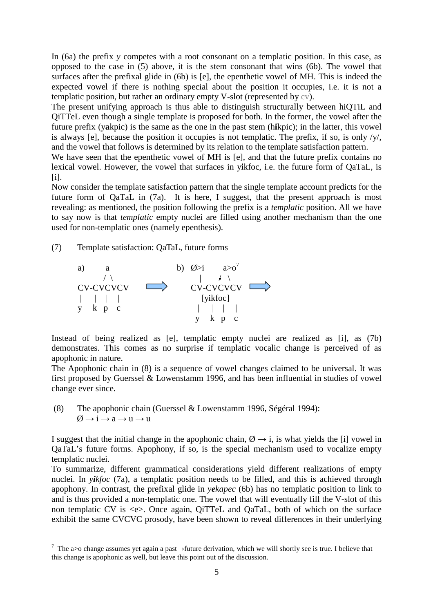In (6a) the prefix *y* competes with a root consonant on a templatic position. In this case, as opposed to the case in (5) above, it is the stem consonant that wins (6b). The vowel that surfaces after the prefixal glide in (6b) is [e], the epenthetic vowel of MH. This is indeed the expected vowel if there is nothing special about the position it occupies, i.e. it is not a templatic position, but rather an ordinary empty V-slot (represented by cv).

The present unifying approach is thus able to distinguish structurally between hiQTiL and QiTTeL even though a single template is proposed for both. In the former, the vowel after the future prefix (y**a**kpic) is the same as the one in the past stem (h**i**kpic); in the latter, this vowel is always [e], because the position it occupies is not templatic. The prefix, if so, is only  $/y'$ , and the vowel that follows is determined by its relation to the template satisfaction pattern.

We have seen that the epenthetic vowel of MH is [e], and that the future prefix contains no lexical vowel. However, the vowel that surfaces in y**i**kfoc, i.e. the future form of QaTaL, is  $[i]$ .

Now consider the template satisfaction pattern that the single template account predicts for the future form of QaTaL in (7a). It is here, I suggest, that the present approach is most revealing: as mentioned, the position following the prefix is a *templatic* position. All we have to say now is that *templatic* empty nuclei are filled using another mechanism than the one used for non-templatic ones (namely epenthesis).

(7) Template satisfaction: QaTaL, future forms

 $\overline{a}$ 



Instead of being realized as [e], templatic empty nuclei are realized as [i], as (7b) demonstrates. This comes as no surprise if templatic vocalic change is perceived of as apophonic in nature.

The Apophonic chain in (8) is a sequence of vowel changes claimed to be universal. It was first proposed by Guerssel & Lowenstamm 1996, and has been influential in studies of vowel change ever since.

 (8) The apophonic chain (Guerssel & Lowenstamm 1996, Ségéral 1994):  $\varnothing \rightarrow i \rightarrow a \rightarrow u \rightarrow u$ 

I suggest that the initial change in the apophonic chain,  $\emptyset \rightarrow i$ , is what yields the [i] vowel in QaTaL's future forms. Apophony, if so, is the special mechanism used to vocalize empty templatic nuclei.

To summarize, different grammatical considerations yield different realizations of empty nuclei. In *yikfoc* (7a), a templatic position needs to be filled, and this is achieved through apophony. In contrast, the prefixal glide in *yekapec* (6b) has no templatic position to link to and is thus provided a non-templatic one. The vowel that will eventually fill the V-slot of this non templatic CV is <e>. Once again, QiTTeL and QaTaL, both of which on the surface exhibit the same CVCVC prosody, have been shown to reveal differences in their underlying

<sup>&</sup>lt;sup>7</sup> The a>o change assumes yet again a past→future derivation, which we will shortly see is true. I believe that this change is apophonic as well, but leave this point out of the discussion.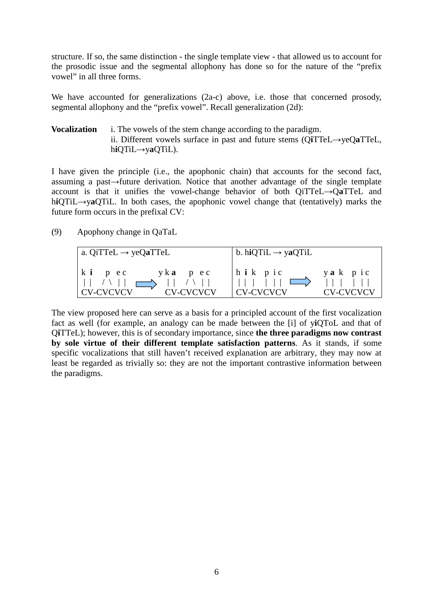structure. If so, the same distinction - the single template view - that allowed us to account for the prosodic issue and the segmental allophony has done so for the nature of the "prefix vowel" in all three forms.

We have accounted for generalizations (2a-c) above, i.e. those that concerned prosody, segmental allophony and the "prefix vowel". Recall generalization (2d):

## **Vocalization** i. The vowels of the stem change according to the paradigm. ii. Different vowels surface in past and future stems (Q**i**TTeL*→*yeQ**a**TTeL, h**i**QTiL*→*y**a**QTiL).

I have given the principle (i.e., the apophonic chain) that accounts for the second fact, assuming a past*→*future derivation. Notice that another advantage of the single template account is that it unifies the vowel-change behavior of both QiTTeL→Q**a**TTeL and h**i**QTiL→y**a**QTiL. In both cases, the apophonic vowel change that (tentatively) marks the future form occurs in the prefixal CV:

### (9) Apophony change in QaTaL

| $ $ a. QiTTeL $\rightarrow$ yeQaTTeL                                          | b. hiQTiL $\rightarrow$ yaQTiL     |                      |
|-------------------------------------------------------------------------------|------------------------------------|----------------------|
| k i p e c<br>$v \mathbf{k}$ <b>a</b> $p$ e c<br><b>CV-CVCVCV</b><br>CV-CVCVCV | $ h$ i k p i c<br><b>CV-CVCVCV</b> | yak pic<br>CV-CVCVCV |

The view proposed here can serve as a basis for a principled account of the first vocalization fact as well (for example, an analogy can be made between the [i] of y**i**QToL and that of Q**i**TTeL); however, this is of secondary importance, since **the three paradigms now contrast by sole virtue of their different template satisfaction patterns**. As it stands, if some specific vocalizations that still haven't received explanation are arbitrary, they may now at least be regarded as trivially so: they are not the important contrastive information between the paradigms.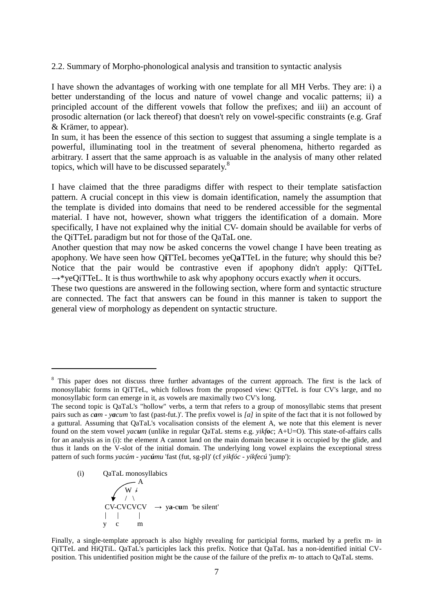2.2. Summary of Morpho-phonological analysis and transition to syntactic analysis

I have shown the advantages of working with one template for all MH Verbs. They are: i) a better understanding of the locus and nature of vowel change and vocalic patterns; ii) a principled account of the different vowels that follow the prefixes; and iii) an account of prosodic alternation (or lack thereof) that doesn't rely on vowel-specific constraints (e.g. Graf & Krämer, to appear).

In sum, it has been the essence of this section to suggest that assuming a single template is a powerful, illuminating tool in the treatment of several phenomena, hitherto regarded as arbitrary. I assert that the same approach is as valuable in the analysis of many other related topics, which will have to be discussed separately.<sup>8</sup>

I have claimed that the three paradigms differ with respect to their template satisfaction pattern. A crucial concept in this view is domain identification, namely the assumption that the template is divided into domains that need to be rendered accessible for the segmental material. I have not, however, shown what triggers the identification of a domain. More specifically, I have not explained why the initial CV- domain should be available for verbs of the QiTTeL paradigm but not for those of the QaTaL one.

Another question that may now be asked concerns the vowel change I have been treating as apophony. We have seen how Q**i**TTeL becomes yeQ**a**TTeL in the future; why should this be? Notice that the pair would be contrastive even if apophony didn't apply: QiTTeL *→*\*yeQiTTeL. It is thus worthwhile to ask why apophony occurs exactly *when* it occurs.

These two questions are answered in the following section, where form and syntactic structure are connected. The fact that answers can be found in this manner is taken to support the general view of morphology as dependent on syntactic structure.

 $\overline{a}$ 

Finally, a single-template approach is also highly revealing for participial forms, marked by a prefix m- in QiTTeL and HiQTiL. QaTaL's participles lack this prefix. Notice that QaTaL has a non-identified initial CVposition. This unidentified position might be the cause of the failure of the prefix *m-* to attach to QaTaL stems.

<sup>&</sup>lt;sup>8</sup> This paper does not discuss three further advantages of the current approach. The first is the lack of monosyllabic forms in QiTTeL, which follows from the proposed view: QiTTeL is four CV's large, and no monosyllabic form can emerge in it, as vowels are maximally two CV's long.

The second topic is QaTaL's "hollow" verbs, a term that refers to a group of monosyllabic stems that present pairs such as *cam* - *yacum* 'to fast (past-fut.)'. The prefix vowel is *[a]* in spite of the fact that it is not followed by a guttural. Assuming that QaTaL's vocalisation consists of the element A, we note that this element is never found on the stem vowel *yacum* (unlike in regular QaTaL stems e.g. *yikfoc*; A+U=O)*.* This state-of-affairs calls for an analysis as in (i): the element A cannot land on the main domain because it is occupied by the glide, and thus it lands on the V-slot of the initial domain. The underlying long vowel explains the exceptional stress pattern of such forms *yacúm - yacúmu* 'fast (fut, sg-pl)' (cf *yikfóc - yikfecú* 'jump'):

 <sup>(</sup>i) QaTaL monosyllabics  $\overline{A}$  $\angle$  W  $\neq$  $\rightarrow$  / \  $CV-CVCVCV \rightarrow ya-cum$  be silent' | | | y c m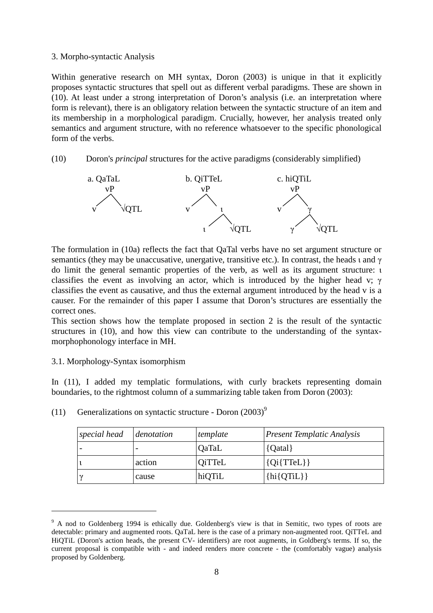#### 3. Morpho-syntactic Analysis

Within generative research on MH syntax, Doron (2003) is unique in that it explicitly proposes syntactic structures that spell out as different verbal paradigms. These are shown in (10). At least under a strong interpretation of Doron's analysis (i.e. an interpretation where form is relevant), there is an obligatory relation between the syntactic structure of an item and its membership in a morphological paradigm. Crucially, however, her analysis treated only semantics and argument structure, with no reference whatsoever to the specific phonological form of the verbs.

### (10) Doron's *principal* structures for the active paradigms (considerably simplified)



The formulation in (10a) reflects the fact that QaTal verbs have no set argument structure or semantics (they may be unaccusative, unergative, transitive etc.). In contrast, the heads  $\iota$  and  $\gamma$ do limit the general semantic properties of the verb, as well as its argument structure: ι classifies the event as involving an actor, which is introduced by the higher head v;  $\gamma$ classifies the event as causative, and thus the external argument introduced by the head v is a causer. For the remainder of this paper I assume that Doron's structures are essentially the correct ones.

This section shows how the template proposed in section 2 is the result of the syntactic structures in (10), and how this view can contribute to the understanding of the syntaxmorphophonology interface in MH.

### 3.1. Morphology-Syntax isomorphism

 $\overline{a}$ 

In (11), I added my templatic formulations, with curly brackets representing domain boundaries, to the rightmost column of a summarizing table taken from Doron (2003):

| special head | denotation | template     | <b>Present Templatic Analysis</b> |
|--------------|------------|--------------|-----------------------------------|
|              |            | <b>QaTaL</b> | {Qatal}                           |
|              | action     | OiTTeL       | ${Qi{TTel}}$                      |
|              | cause      | hiQTiL       | $\{hi\{QTiL\}\}\$                 |

(11) Generalizations on syntactic structure - Doron  $(2003)^9$ 

<sup>&</sup>lt;sup>9</sup> A nod to Goldenberg 1994 is ethically due. Goldenberg's view is that in Semitic, two types of roots are detectable: primary and augmented roots. QaTaL here is the case of a primary non-augmented root. QiTTeL and HiQTiL (Doron's action heads, the present CV- identifiers) are root augments, in Goldberg's terms. If so, the current proposal is compatible with - and indeed renders more concrete - the (comfortably vague) analysis proposed by Goldenberg.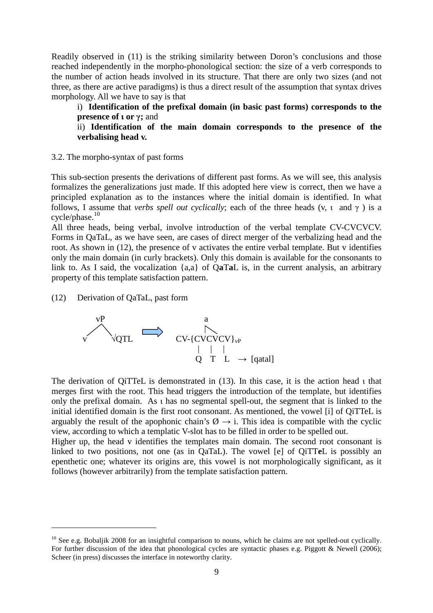Readily observed in (11) is the striking similarity between Doron's conclusions and those reached independently in the morpho-phonological section: the size of a verb corresponds to the number of action heads involved in its structure. That there are only two sizes (and not three, as there are active paradigms) is thus a direct result of the assumption that syntax drives morphology. All we have to say is that

i) **Identification of the prefixal domain (in basic past forms) corresponds to the presence of ι or γ;** and

ii) **Identification of the main domain corresponds to the presence of the verbalising head v.** 

3.2. The morpho-syntax of past forms

This sub-section presents the derivations of different past forms. As we will see, this analysis formalizes the generalizations just made. If this adopted here view is correct, then we have a principled explanation as to the instances where the initial domain is identified. In what follows, I assume that *verbs spell out cyclically*; each of the three heads (v, ι and γ ) is a  $cycle/phase.<sup>10</sup>$ 

All three heads, being verbal, involve introduction of the verbal template CV-CVCVCV. Forms in QaTaL, as we have seen, are cases of direct merger of the verbalizing head and the root. As shown in (12), the presence of v activates the entire verbal template. But v identifies only the main domain (in curly brackets). Only this domain is available for the consonants to link to. As I said, the vocalization {a,a} of Q**a**T**a**L is, in the current analysis, an arbitrary property of this template satisfaction pattern.

(12) Derivation of QaTaL, past form

 $\overline{a}$ 



The derivation of QiTTeL is demonstrated in (13). In this case, it is the action head ι that merges first with the root. This head triggers the introduction of the template, but identifies only the prefixal domain. As ι has no segmental spell-out, the segment that is linked to the initial identified domain is the first root consonant. As mentioned, the vowel [i] of QiTTeL is arguably the result of the apophonic chain's  $\emptyset \rightarrow i$ . This idea is compatible with the cyclic view, according to which a templatic V-slot has to be filled in order to be spelled out.

Higher up, the head v identifies the templates main domain. The second root consonant is linked to two positions, not one (as in QaTaL). The vowel [e] of QiTT**e**L is possibly an epenthetic one; whatever its origins are, this vowel is not morphologically significant, as it follows (however arbitrarily) from the template satisfaction pattern.

 $10$  See e.g. Bobaliik 2008 for an insightful comparison to nouns, which he claims are not spelled-out cyclically. For further discussion of the idea that phonological cycles are syntactic phases e.g. Piggott & Newell (2006); Scheer (in press) discusses the interface in noteworthy clarity.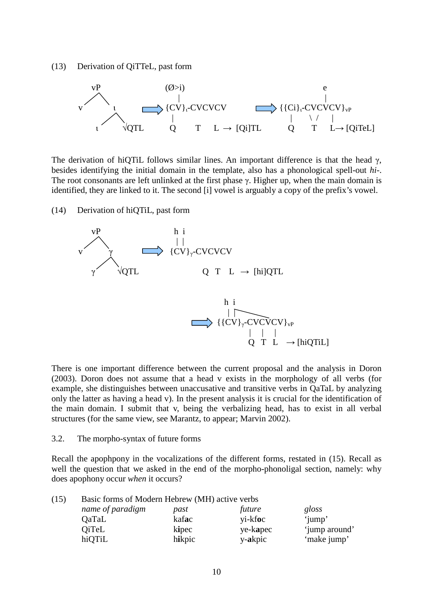(13) Derivation of QiTTeL, past form



The derivation of hiQTiL follows similar lines. An important difference is that the head  $\gamma$ , besides identifying the initial domain in the template, also has a phonological spell-out *hi-*. The root consonants are left unlinked at the first phase γ. Higher up, when the main domain is identified, they are linked to it. The second [i] vowel is arguably a copy of the prefix's vowel.

(14) Derivation of hiQTiL, past form



There is one important difference between the current proposal and the analysis in Doron (2003). Doron does not assume that a head v exists in the morphology of all verbs (for example, she distinguishes between unaccusative and transitive verbs in QaTaL by analyzing only the latter as having a head v). In the present analysis it is crucial for the identification of the main domain. I submit that v, being the verbalizing head, has to exist in all verbal structures (for the same view, see Marantz, to appear; Marvin 2002).

#### 3.2. The morpho-syntax of future forms

Recall the apophpony in the vocalizations of the different forms, restated in (15). Recall as well the question that we asked in the end of the morpho-phonoligal section, namely: why does apophony occur *when* it occurs?

| (15) | Basic forms of Modern Hebrew (MH) active verbs |        |          |               |
|------|------------------------------------------------|--------|----------|---------------|
|      | name of paradigm                               | past   | future   | gloss         |
|      | <b>QaTaL</b>                                   | kafac  | yi-kfoc  | 'jump'        |
|      | <b>QiTeL</b>                                   | kipec  | ye-kapec | 'jump around' |
|      | hiQTiL                                         | hikpic | y-akpic  | 'make jump'   |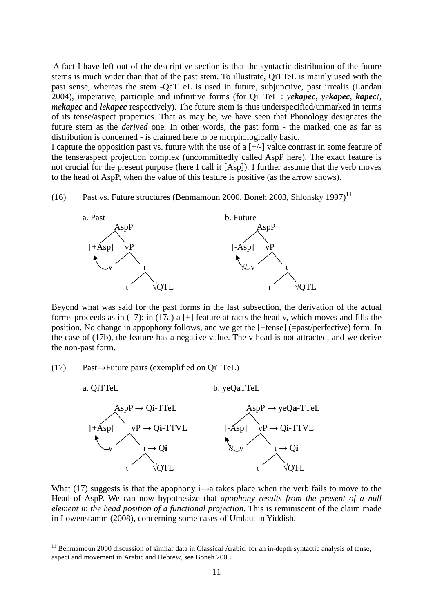A fact I have left out of the descriptive section is that the syntactic distribution of the future stems is much wider than that of the past stem. To illustrate, QiTTeL is mainly used with the past sense, whereas the stem -QaTTeL is used in future, subjunctive, past irrealis (Landau 2004), imperative, participle and infinitive forms (for QiTTeL : *yekapec, yekapec, kapec!, mekapec* and *lekapec* respectively). The future stem is thus underspecified/unmarked in terms of its tense/aspect properties. That as may be, we have seen that Phonology designates the future stem as the *derived* one. In other words, the past form - the marked one as far as distribution is concerned - is claimed here to be morphologically basic.

I capture the opposition past vs. future with the use of a  $[+/]$  value contrast in some feature of the tense/aspect projection complex (uncommittedly called AspP here). The exact feature is not crucial for the present purpose (here I call it [Asp]). I further assume that the verb moves to the head of AspP, when the value of this feature is positive (as the arrow shows).

(16) Past vs. Future structures (Benmamoun 2000, Boneh 2003, Shlonsky 1997)<sup>11</sup>



Beyond what was said for the past forms in the last subsection, the derivation of the actual forms proceeds as in (17): in (17a) a [+] feature attracts the head v, which moves and fills the position. No change in appophony follows, and we get the [+tense] (=past/perfective) form. In the case of (17b), the feature has a negative value. The v head is not attracted, and we derive the non-past form.

#### (17) Past→Future pairs (exemplified on QiTTeL)

 $\overline{a}$ 



What (17) suggests is that the apophony  $i \rightarrow a$  takes place when the verb fails to move to the Head of AspP. We can now hypothesize that *apophony results from the present of a null element in the head position of a functional projection*. This is reminiscent of the claim made in Lowenstamm (2008), concerning some cases of Umlaut in Yiddish.

<sup>&</sup>lt;sup>11</sup> Benmamoun 2000 discussion of similar data in Classical Arabic; for an in-depth syntactic analysis of tense, aspect and movement in Arabic and Hebrew, see Boneh 2003.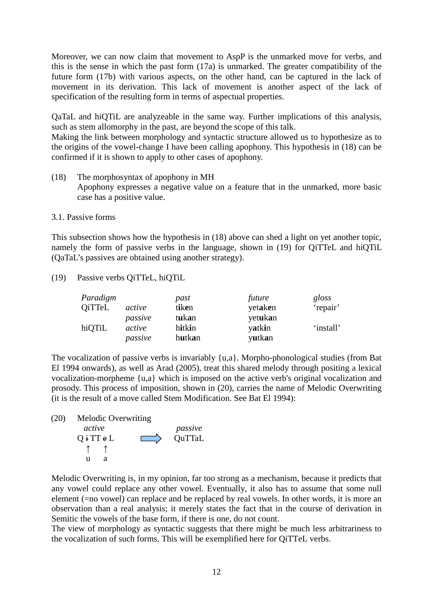Moreover, we can now claim that movement to AspP is the unmarked move for verbs, and this is the sense in which the past form (17a) is unmarked. The greater compatibility of the future form (17b) with various aspects, on the other hand, can be captured in the lack of movement in its derivation. This lack of movement is another aspect of the lack of specification of the resulting form in terms of aspectual properties.

QaTaL and hiQTiL are analyzeable in the same way. Further implications of this analysis, such as stem allomorphy in the past, are beyond the scope of this talk.

Making the link between morphology and syntactic structure allowed us to hypothesize as to the origins of the vowel-change I have been calling apophony. This hypothesis in (18) can be confirmed if it is shown to apply to other cases of apophony.

- (18) The morphosyntax of apophony in MH Apophony expresses a negative value on a feature that in the unmarked, more basic case has a positive value.
- 3.1. Passive forms

This subsection shows how the hypothesis in (18) above can shed a light on yet another topic, namely the form of passive verbs in the language, shown in (19) for QiTTeL and hiQTiL (QaTaL's passives are obtained using another strategy).

(19) Passive verbs QiTTeL, hiQTiL

| Paradigm      |         | past   | future  | gloss     |
|---------------|---------|--------|---------|-----------|
| <b>QiTTeL</b> | active  | tiken  | yetaken | 'repair'  |
|               | passive | tukan  | yetukan |           |
| hiQTiL        | active  | hitkin | yatkin  | 'install' |
|               | passive | hutkan | yutkan  |           |

The vocalization of passive verbs is invariably {u,a}. Morpho-phonological studies (from Bat El 1994 onwards), as well as Arad (2005), treat this shared melody through positing a lexical vocalization-morpheme {u,a} which is imposed on the active verb's original vocalization and prosody. This process of imposition, shown in (20), carries the name of Melodic Overwriting (it is the result of a move called Stem Modification. See Bat El 1994):

(20) Melodic Overwriting

 *active passive*   $Q$  i TT  $\not\in$  L  $\qquad \qquad \qquad$  QuTTaL ↑ ↑ u a

Melodic Overwriting is, in my opinion, far too strong as a mechanism, because it predicts that any vowel could replace any other vowel. Eventually, it also has to assume that some null element (=no vowel) can replace and be replaced by real vowels. In other words, it is more an observation than a real analysis; it merely states the fact that in the course of derivation in Semitic the vowels of the base form, if there is one, do not count.

The view of morphology as syntactic suggests that there might be much less arbitrariness to the vocalization of such forms. This will be exemplified here for QiTTeL verbs.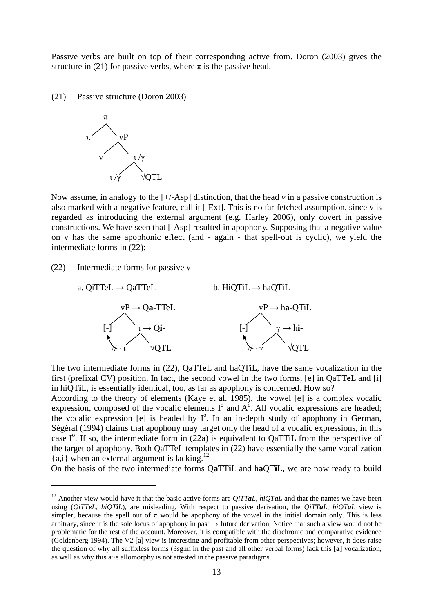Passive verbs are built on top of their corresponding active from. Doron (2003) gives the structure in (21) for passive verbs, where  $\pi$  is the passive head.

(21) Passive structure (Doron 2003)



Now assume, in analogy to the [+/-Asp] distinction, that the head *v* in a passive construction is also marked with a negative feature, call it [-Ext]. This is no far-fetched assumption, since v is regarded as introducing the external argument (e.g. Harley 2006), only covert in passive constructions. We have seen that [-Asp] resulted in apophony. Supposing that a negative value on v has the same apophonic effect (and - again - that spell-out is cyclic), we yield the intermediate forms in (22):

(22) Intermediate forms for passive v

 $\overline{a}$ 



The two intermediate forms in (22), QaTTeL and haQTiL, have the same vocalization in the first (prefixal CV) position. In fact, the second vowel in the two forms, [e] in QaTT**e**L and [i] in hiQT**i**L, is essentially identical, too, as far as apophony is concerned. How so?

According to the theory of elements (Kaye et al. 1985), the vowel [e] is a complex vocalic expression, composed of the vocalic elements  $I^{\circ}$  and  $A^{\circ}$ . All vocalic expressions are headed; the vocalic expression [e] is headed by  $I^0$ . In an in-depth study of apophony in German, Ségéral (1994) claims that apophony may target only the head of a vocalic expressions, in this case  $I^{\circ}$ . If so, the intermediate form in (22a) is equivalent to QaTTiL from the perspective of the target of apophony. Both QaTTeL templates in (22) have essentially the same vocalization  ${a,i}$  when an external argument is lacking.<sup>12</sup>

On the basis of the two intermediate forms Q**a**TT**i**L and h**a**QT**i**L, we are now ready to build

<sup>&</sup>lt;sup>12</sup> Another view would have it that the basic active forms are *QiTTaL, hiQTaL* and that the names we have been using (*QiTTeL*, *hiQTiL*), are misleading*.* With respect to passive derivation, the *QiTTaL, hiQTaL* view is simpler, because the spell out of  $\pi$  would be apophony of the vowel in the initial domain only. This is less arbitrary, since it is the sole locus of apophony in past  $\rightarrow$  future derivation. Notice that such a view would not be problematic for the rest of the account. Moreover, it is compatible with the diachronic and comparative evidence (Goldenberg 1994). The V2 [a] view is interesting and profitable from other perspectives; however, it does raise the question of why all suffixless forms (3sg.m in the past and all other verbal forms) lack this **[a]** vocalization, as well as why this a~e allomorphy is not attested in the passive paradigms.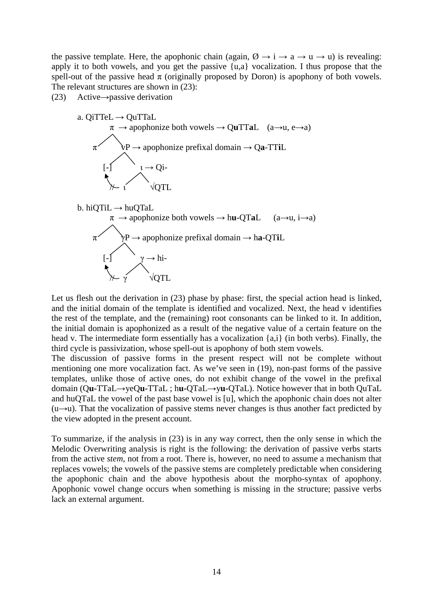the passive template. Here, the apophonic chain (again,  $\emptyset \rightarrow i \rightarrow a \rightarrow u \rightarrow u$ ) is revealing: apply it to both vowels, and you get the passive  $\{u,a\}$  vocalization. I thus propose that the spell-out of the passive head  $\pi$  (originally proposed by Doron) is apophony of both vowels. The relevant structures are shown in (23):

(23) Active→passive derivation



Let us flesh out the derivation in (23) phase by phase: first, the special action head is linked, and the initial domain of the template is identified and vocalized. Next, the head v identifies the rest of the template, and the (remaining) root consonants can be linked to it. In addition, the initial domain is apophonized as a result of the negative value of a certain feature on the head v. The intermediate form essentially has a vocalization {a,i} (in both verbs). Finally, the third cycle is passivization, whose spell-out is apophony of both stem vowels.

The discussion of passive forms in the present respect will not be complete without mentioning one more vocalization fact. As we've seen in (19), non-past forms of the passive templates, unlike those of active ones, do not exhibit change of the vowel in the prefixal domain (Q**u-**TTaL→yeQ**u-**TTaL ; h**u-**QTaL→y**u-**QTaL). Notice however that in both QuTaL and huQTaL the vowel of the past base vowel is [u], which the apophonic chain does not alter  $(u \rightarrow u)$ . That the vocalization of passive stems never changes is thus another fact predicted by the view adopted in the present account.

To summarize, if the analysis in (23) is in any way correct, then the only sense in which the Melodic Overwriting analysis is right is the following: the derivation of passive verbs starts from the active *stem*, not from a root. There is, however, no need to assume a mechanism that replaces vowels; the vowels of the passive stems are completely predictable when considering the apophonic chain and the above hypothesis about the morpho-syntax of apophony. Apophonic vowel change occurs when something is missing in the structure; passive verbs lack an external argument.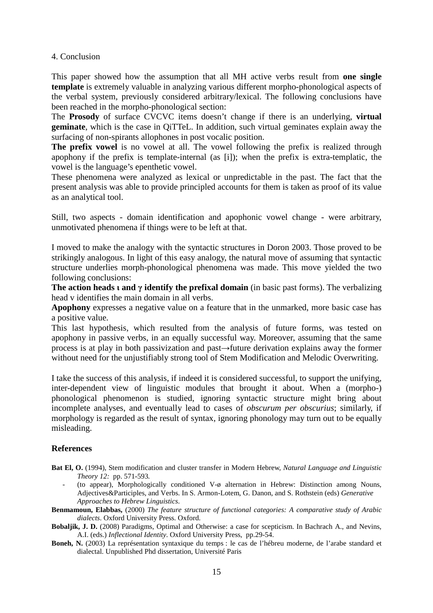#### 4. Conclusion

This paper showed how the assumption that all MH active verbs result from **one single template** is extremely valuable in analyzing various different morpho-phonological aspects of the verbal system, previously considered arbitrary/lexical. The following conclusions have been reached in the morpho-phonological section:

The **Prosody** of surface CVCVC items doesn't change if there is an underlying, **virtual geminate**, which is the case in QiTTeL. In addition, such virtual geminates explain away the surfacing of non-spirants allophones in post vocalic position.

**The prefix vowel** is no vowel at all. The vowel following the prefix is realized through apophony if the prefix is template-internal (as [i]); when the prefix is extra-templatic, the vowel is the language's epenthetic vowel.

These phenomena were analyzed as lexical or unpredictable in the past. The fact that the present analysis was able to provide principled accounts for them is taken as proof of its value as an analytical tool.

Still, two aspects - domain identification and apophonic vowel change - were arbitrary, unmotivated phenomena if things were to be left at that.

I moved to make the analogy with the syntactic structures in Doron 2003. Those proved to be strikingly analogous. In light of this easy analogy, the natural move of assuming that syntactic structure underlies morph-phonological phenomena was made. This move yielded the two following conclusions:

**The action heads ι and γ identify the prefixal domain** (in basic past forms). The verbalizing head v identifies the main domain in all verbs.

**Apophony** expresses a negative value on a feature that in the unmarked, more basic case has a positive value.

This last hypothesis, which resulted from the analysis of future forms, was tested on apophony in passive verbs, in an equally successful way. Moreover, assuming that the same process is at play in both passivization and past→future derivation explains away the former without need for the unjustifiably strong tool of Stem Modification and Melodic Overwriting.

I take the success of this analysis, if indeed it is considered successful, to support the unifying, inter-dependent view of linguistic modules that brought it about. When a (morpho-) phonological phenomenon is studied, ignoring syntactic structure might bring about incomplete analyses, and eventually lead to cases of *obscurum per obscurius*; similarly, if morphology is regarded as the result of syntax, ignoring phonology may turn out to be equally misleading.

### **References**

- **Bat El, O.** (1994), Stem modification and cluster transfer in Modern Hebrew, *Natural Language and Linguistic Theory 12:* pp. 571-593*.* 
	- (to appear), Morphologically conditioned  $V$ - $\emptyset$  alternation in Hebrew: Distinction among Nouns, Adjectives&Participles, and Verbs. In S. Armon-Lotem, G. Danon, and S. Rothstein (eds) *Generative Approaches to Hebrew Linguistics*.
- **Benmamoun, Elabbas,** (2000) *The feature structure of functional categories: A comparative study of Arabic dialects*. Oxford University Press. Oxford.

**Bobaljik, J. D.** (2008) Paradigms, Optimal and Otherwise: a case for scepticism. In Bachrach A., and Nevins, A.I. (eds.) *Inflectional Identity*. Oxford University Press, pp.29-54.

**Boneh, N.** (2003) La représentation syntaxique du temps : le cas de l'hébreu moderne, de l'arabe standard et dialectal. Unpublished Phd dissertation, Université Paris